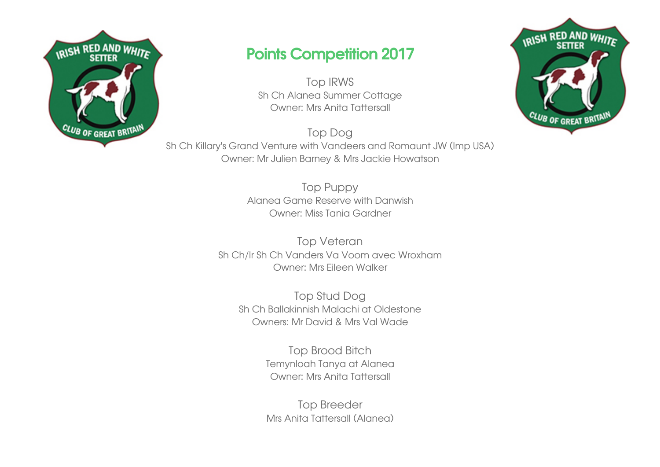

## Points Competition 2017

Top IRWS Sh Ch Alanea Summer Cottage Owner: Mrs Anita Tattersall

Top Dog Sh Ch Killary's Grand Venture with Vandeers and Romaunt JW (Imp USA) Owner: Mr Julien Barney & Mrs Jackie Howatson

> Top Puppy Alanea Game Reserve with Danwish Owner: Miss Tania Gardner

Top Veteran Sh Ch/Ir Sh Ch Vanders Va Voom avec Wroxham Owner: Mrs Eileen Walker

Top Stud Dog Sh Ch Ballakinnish Malachi at Oldestone Owners: Mr David & Mrs Val Wade

> Top Brood Bitch Temynloah Tanya at Alanea Owner: Mrs Anita Tattersall

> Top Breeder Mrs Anita Tattersall (Alanea)

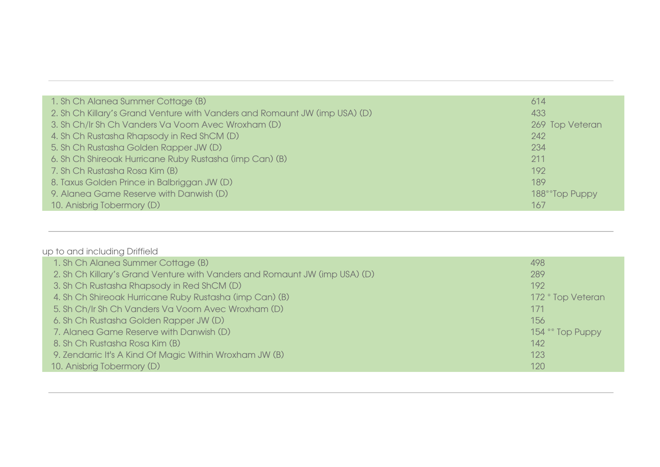| 1. Sh Ch Alanea Summer Cottage (B)                                         | 614             |
|----------------------------------------------------------------------------|-----------------|
| 2. Sh Ch Killary's Grand Venture with Vanders and Romaunt JW (imp USA) (D) | 433             |
| 3. Sh Ch/Ir Sh Ch Vanders Va Voom Avec Wroxham (D)                         | 269 Top Veteran |
| 4. Sh Ch Rustasha Rhapsody in Red ShCM (D)                                 | 242             |
| 5. Sh Ch Rustasha Golden Rapper JW (D)                                     | 234             |
| 6. Sh Ch Shireoak Hurricane Ruby Rustasha (imp Can) (B)                    | 211             |
| 7. Sh Ch Rustasha Rosa Kim (B)                                             | 192             |
| 8. Taxus Golden Prince in Balbriggan JW (D)                                | 189             |
| 9. Alanea Game Reserve with Danwish (D)                                    | 188**Top Puppy  |
| 10. Anisbrig Tobermory (D)                                                 | 167             |

| up to and including Driffield |  |
|-------------------------------|--|
|-------------------------------|--|

| 1. Sh Ch Alanea Summer Cottage (B)                                         | 498               |
|----------------------------------------------------------------------------|-------------------|
| 2. Sh Ch Killary's Grand Venture with Vanders and Romaunt JW (imp USA) (D) | 289               |
| 3. Sh Ch Rustasha Rhapsody in Red ShCM (D)                                 | 192               |
| 4. Sh Ch Shireoak Hurricane Ruby Rustasha (imp Can) (B)                    | 172 * Top Veteran |
| 5. Sh Ch/Ir Sh Ch Vanders Va Voom Avec Wroxham (D)                         | 171               |
| 6. Sh Ch Rustasha Golden Rapper JW (D)                                     | 156               |
| 7. Alanea Game Reserve with Danwish (D)                                    | 154 ** Top Puppy  |
| 8. Sh Ch Rustasha Rosa Kim (B)                                             | 142               |
| 9. Zendarric It's A Kind Of Magic Within Wroxham JW (B)                    | 123               |
| 10. Anisbrig Tobermory (D)                                                 | 120               |
|                                                                            |                   |